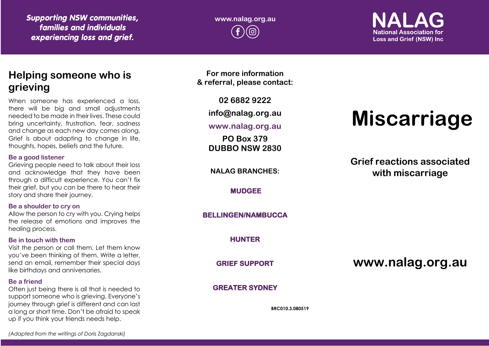*Supporting NSW communities, families and individuals experiencing loss and grief.*

**www.nalag.org.au**

**National Association for Loss and Grief (NSW) Inc.** 

## **Helping someone who is grieving**

When someone has experienced a loss, there will be big and small adjustments needed to be made in their lives. These could bring uncertainty, frustration, fear, sadness and change as each new day comes along. Grief is about adapting to change in life, thoughts, hopes, beliefs and the future.

#### **Be a good listener**

Grieving people need to talk about their loss and acknowledge that they have been through a difficult experience. You can't fix their grief, but you can be there to hear their story and share their journey.

#### **Be a shoulder to cry on**

Allow the person to cry with you. Crying helps the release of emotions and improves the healing process.

#### **Be in touch with them**

Visit the person or call them. Let them know you've been thinking of them. Write a letter, send an email, remember their special days like birthdays and anniversaries.

#### **Be a friend**

Often just being there is all that is needed to support someone who is grieving. Everyone's journey through grief is different and can last a long or short time. Don't be afraid to speak up if you think your friends needs help.

**For more information & referral, please contact:**

**02 6882 9222**

**info@nalag.org.au**

### **www.nalag.org.au**

**PO Box 379 DUBBO NSW 2830**

**NALAG BRANCHES:**

**MUDGEE** 

**BELLINGEN/NAMBUCCA** 

**HUNTER** 

**GRIEF SUPPORT** 

#### **GREATER SYDNEY**

**BRC010.3.080519**

# **Miscarriage**

**Grief reactions associated with miscarriage**

**www.nalag.org.au**

*(Adapted from the writings of Doris Zagdanski)*